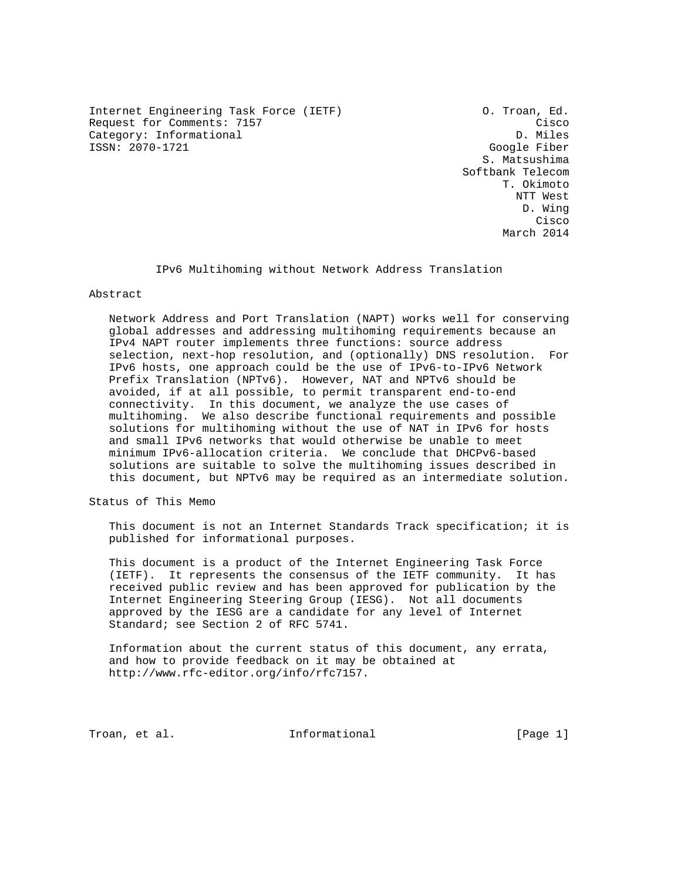Internet Engineering Task Force (IETF) O. Troan, Ed. Request for Comments: 7157 Cisco Category: Informational Cisco Cisco Cisco Cisco Cisco Cisco Cisco Cisco Cisco<br>Category: Informational Category: Comments: 7157 Category: Informational ISSN: 2070-1721 Google Fiber

 S. Matsushima Softbank Telecom T. Okimoto NTT West D. Wing **Cisco de la contrata de la contrata de la contrata de la contrata de la contrata de la contrata de la contrat** March 2014

IPv6 Multihoming without Network Address Translation

Abstract

 Network Address and Port Translation (NAPT) works well for conserving global addresses and addressing multihoming requirements because an IPv4 NAPT router implements three functions: source address selection, next-hop resolution, and (optionally) DNS resolution. For IPv6 hosts, one approach could be the use of IPv6-to-IPv6 Network Prefix Translation (NPTv6). However, NAT and NPTv6 should be avoided, if at all possible, to permit transparent end-to-end connectivity. In this document, we analyze the use cases of multihoming. We also describe functional requirements and possible solutions for multihoming without the use of NAT in IPv6 for hosts and small IPv6 networks that would otherwise be unable to meet minimum IPv6-allocation criteria. We conclude that DHCPv6-based solutions are suitable to solve the multihoming issues described in this document, but NPTv6 may be required as an intermediate solution.

Status of This Memo

 This document is not an Internet Standards Track specification; it is published for informational purposes.

 This document is a product of the Internet Engineering Task Force (IETF). It represents the consensus of the IETF community. It has received public review and has been approved for publication by the Internet Engineering Steering Group (IESG). Not all documents approved by the IESG are a candidate for any level of Internet Standard; see Section 2 of RFC 5741.

 Information about the current status of this document, any errata, and how to provide feedback on it may be obtained at http://www.rfc-editor.org/info/rfc7157.

Troan, et al. The Informational Troan, et al.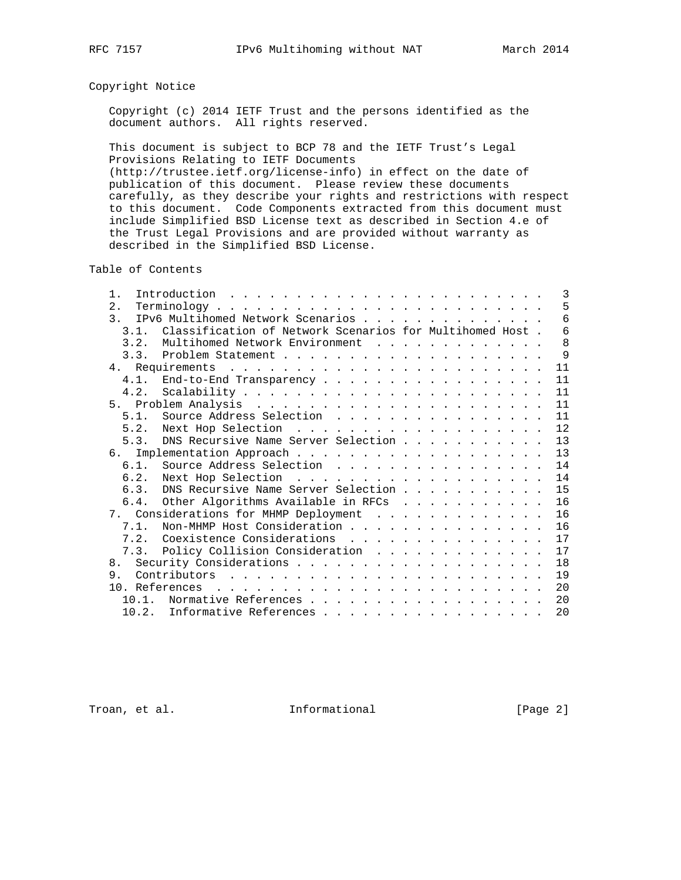# Copyright Notice

 Copyright (c) 2014 IETF Trust and the persons identified as the document authors. All rights reserved.

 This document is subject to BCP 78 and the IETF Trust's Legal Provisions Relating to IETF Documents (http://trustee.ietf.org/license-info) in effect on the date of publication of this document. Please review these documents

 carefully, as they describe your rights and restrictions with respect to this document. Code Components extracted from this document must include Simplified BSD License text as described in Section 4.e of the Trust Legal Provisions and are provided without warranty as described in the Simplified BSD License.

Table of Contents

| $1$ .          |  |                   |  |  |  | 3                                                                                                                                                                                                                                                                                                                                                                                                                                                                                                                                                                                                      |
|----------------|--|-------------------|--|--|--|--------------------------------------------------------------------------------------------------------------------------------------------------------------------------------------------------------------------------------------------------------------------------------------------------------------------------------------------------------------------------------------------------------------------------------------------------------------------------------------------------------------------------------------------------------------------------------------------------------|
| 2.             |  |                   |  |  |  | 5                                                                                                                                                                                                                                                                                                                                                                                                                                                                                                                                                                                                      |
| 3 <sub>1</sub> |  |                   |  |  |  | 6                                                                                                                                                                                                                                                                                                                                                                                                                                                                                                                                                                                                      |
|                |  |                   |  |  |  | 6                                                                                                                                                                                                                                                                                                                                                                                                                                                                                                                                                                                                      |
| 3.2.           |  |                   |  |  |  | 8                                                                                                                                                                                                                                                                                                                                                                                                                                                                                                                                                                                                      |
|                |  |                   |  |  |  | 9                                                                                                                                                                                                                                                                                                                                                                                                                                                                                                                                                                                                      |
|                |  |                   |  |  |  | 11                                                                                                                                                                                                                                                                                                                                                                                                                                                                                                                                                                                                     |
|                |  |                   |  |  |  | 11                                                                                                                                                                                                                                                                                                                                                                                                                                                                                                                                                                                                     |
|                |  |                   |  |  |  | 11                                                                                                                                                                                                                                                                                                                                                                                                                                                                                                                                                                                                     |
|                |  |                   |  |  |  | 11                                                                                                                                                                                                                                                                                                                                                                                                                                                                                                                                                                                                     |
|                |  |                   |  |  |  | 11                                                                                                                                                                                                                                                                                                                                                                                                                                                                                                                                                                                                     |
|                |  |                   |  |  |  | 12                                                                                                                                                                                                                                                                                                                                                                                                                                                                                                                                                                                                     |
|                |  |                   |  |  |  | 13                                                                                                                                                                                                                                                                                                                                                                                                                                                                                                                                                                                                     |
|                |  |                   |  |  |  | 13                                                                                                                                                                                                                                                                                                                                                                                                                                                                                                                                                                                                     |
|                |  |                   |  |  |  | 14                                                                                                                                                                                                                                                                                                                                                                                                                                                                                                                                                                                                     |
|                |  |                   |  |  |  | 14                                                                                                                                                                                                                                                                                                                                                                                                                                                                                                                                                                                                     |
|                |  |                   |  |  |  | 15                                                                                                                                                                                                                                                                                                                                                                                                                                                                                                                                                                                                     |
|                |  |                   |  |  |  | 16                                                                                                                                                                                                                                                                                                                                                                                                                                                                                                                                                                                                     |
|                |  |                   |  |  |  | 16                                                                                                                                                                                                                                                                                                                                                                                                                                                                                                                                                                                                     |
|                |  |                   |  |  |  | 16                                                                                                                                                                                                                                                                                                                                                                                                                                                                                                                                                                                                     |
|                |  |                   |  |  |  | 17                                                                                                                                                                                                                                                                                                                                                                                                                                                                                                                                                                                                     |
|                |  |                   |  |  |  | 17                                                                                                                                                                                                                                                                                                                                                                                                                                                                                                                                                                                                     |
| 8.             |  |                   |  |  |  | 18                                                                                                                                                                                                                                                                                                                                                                                                                                                                                                                                                                                                     |
| 9.             |  |                   |  |  |  | 19                                                                                                                                                                                                                                                                                                                                                                                                                                                                                                                                                                                                     |
|                |  |                   |  |  |  | 20                                                                                                                                                                                                                                                                                                                                                                                                                                                                                                                                                                                                     |
|                |  |                   |  |  |  | 20                                                                                                                                                                                                                                                                                                                                                                                                                                                                                                                                                                                                     |
|                |  |                   |  |  |  | 20                                                                                                                                                                                                                                                                                                                                                                                                                                                                                                                                                                                                     |
|                |  | $10.1$ .<br>10.2. |  |  |  | IPv6 Multihomed Network Scenarios<br>3.1. Classification of Network Scenarios for Multihomed Host.<br>Multihomed Network Environment<br>4.1. End-to-End Transparency<br>5.1. Source Address Selection<br>5.3. DNS Recursive Name Server Selection<br>6.1. Source Address Selection<br>6.3. DNS Recursive Name Server Selection<br>6.4. Other Algorithms Available in RFCs $\dots \dots \dots$<br>7. Considerations for MHMP Deployment<br>7.1. Non-MHMP Host Consideration<br>7.2. Coexistence Considerations<br>7.3. Policy Collision Consideration<br>Normative References<br>Informative References |

Troan, et al. 1nformational 1999 [Page 2]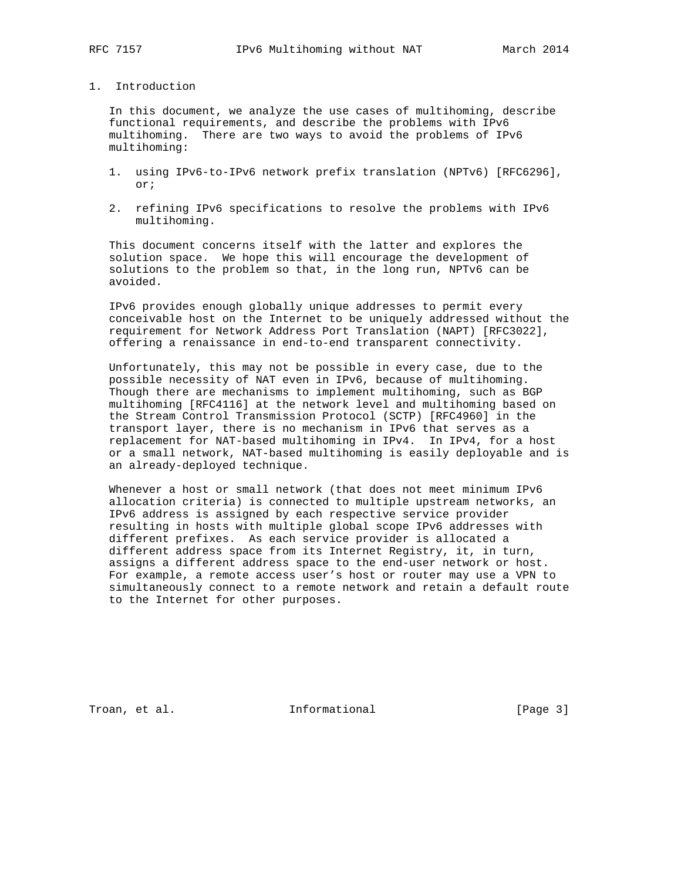# 1. Introduction

 In this document, we analyze the use cases of multihoming, describe functional requirements, and describe the problems with IPv6 multihoming. There are two ways to avoid the problems of IPv6 multihoming:

- 1. using IPv6-to-IPv6 network prefix translation (NPTv6) [RFC6296], or;
- 2. refining IPv6 specifications to resolve the problems with IPv6 multihoming.

 This document concerns itself with the latter and explores the solution space. We hope this will encourage the development of solutions to the problem so that, in the long run, NPTv6 can be avoided.

 IPv6 provides enough globally unique addresses to permit every conceivable host on the Internet to be uniquely addressed without the requirement for Network Address Port Translation (NAPT) [RFC3022], offering a renaissance in end-to-end transparent connectivity.

 Unfortunately, this may not be possible in every case, due to the possible necessity of NAT even in IPv6, because of multihoming. Though there are mechanisms to implement multihoming, such as BGP multihoming [RFC4116] at the network level and multihoming based on the Stream Control Transmission Protocol (SCTP) [RFC4960] in the transport layer, there is no mechanism in IPv6 that serves as a replacement for NAT-based multihoming in IPv4. In IPv4, for a host or a small network, NAT-based multihoming is easily deployable and is an already-deployed technique.

 Whenever a host or small network (that does not meet minimum IPv6 allocation criteria) is connected to multiple upstream networks, an IPv6 address is assigned by each respective service provider resulting in hosts with multiple global scope IPv6 addresses with different prefixes. As each service provider is allocated a different address space from its Internet Registry, it, in turn, assigns a different address space to the end-user network or host. For example, a remote access user's host or router may use a VPN to simultaneously connect to a remote network and retain a default route to the Internet for other purposes.

Troan, et al. The Informational Troan, et al.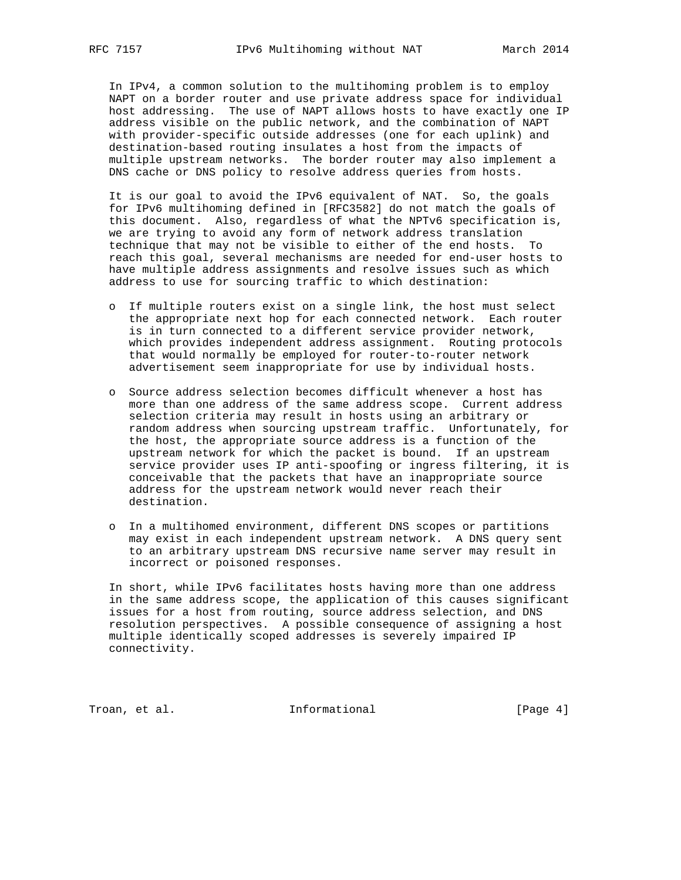In IPv4, a common solution to the multihoming problem is to employ NAPT on a border router and use private address space for individual host addressing. The use of NAPT allows hosts to have exactly one IP address visible on the public network, and the combination of NAPT with provider-specific outside addresses (one for each uplink) and destination-based routing insulates a host from the impacts of multiple upstream networks. The border router may also implement a DNS cache or DNS policy to resolve address queries from hosts.

 It is our goal to avoid the IPv6 equivalent of NAT. So, the goals for IPv6 multihoming defined in [RFC3582] do not match the goals of this document. Also, regardless of what the NPTv6 specification is, we are trying to avoid any form of network address translation technique that may not be visible to either of the end hosts. To reach this goal, several mechanisms are needed for end-user hosts to have multiple address assignments and resolve issues such as which address to use for sourcing traffic to which destination:

- o If multiple routers exist on a single link, the host must select the appropriate next hop for each connected network. Each router is in turn connected to a different service provider network, which provides independent address assignment. Routing protocols that would normally be employed for router-to-router network advertisement seem inappropriate for use by individual hosts.
- o Source address selection becomes difficult whenever a host has more than one address of the same address scope. Current address selection criteria may result in hosts using an arbitrary or random address when sourcing upstream traffic. Unfortunately, for the host, the appropriate source address is a function of the upstream network for which the packet is bound. If an upstream service provider uses IP anti-spoofing or ingress filtering, it is conceivable that the packets that have an inappropriate source address for the upstream network would never reach their destination.
- o In a multihomed environment, different DNS scopes or partitions may exist in each independent upstream network. A DNS query sent to an arbitrary upstream DNS recursive name server may result in incorrect or poisoned responses.

 In short, while IPv6 facilitates hosts having more than one address in the same address scope, the application of this causes significant issues for a host from routing, source address selection, and DNS resolution perspectives. A possible consequence of assigning a host multiple identically scoped addresses is severely impaired IP connectivity.

Troan, et al. 10 Informational 1999 [Page 4]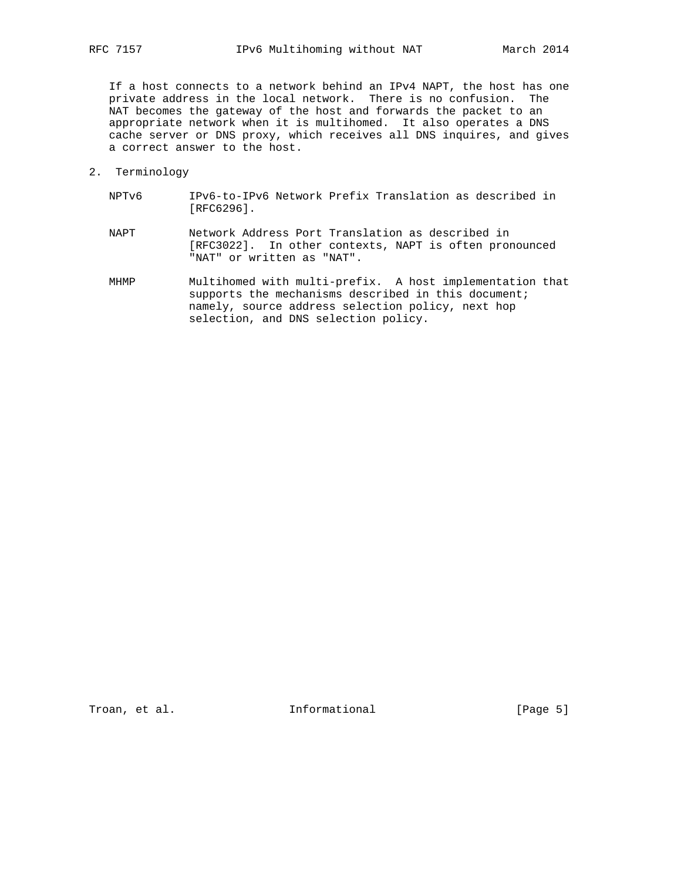If a host connects to a network behind an IPv4 NAPT, the host has one private address in the local network. There is no confusion. The NAT becomes the gateway of the host and forwards the packet to an appropriate network when it is multihomed. It also operates a DNS cache server or DNS proxy, which receives all DNS inquires, and gives a correct answer to the host.

- 2. Terminology
	- NPTv6 IPv6-to-IPv6 Network Prefix Translation as described in [RFC6296].
	- NAPT Network Address Port Translation as described in [RFC3022]. In other contexts, NAPT is often pronounced "NAT" or written as "NAT".
	- MHMP Multihomed with multi-prefix. A host implementation that supports the mechanisms described in this document; namely, source address selection policy, next hop selection, and DNS selection policy.

Troan, et al. 10 mm informational 1999 [Page 5]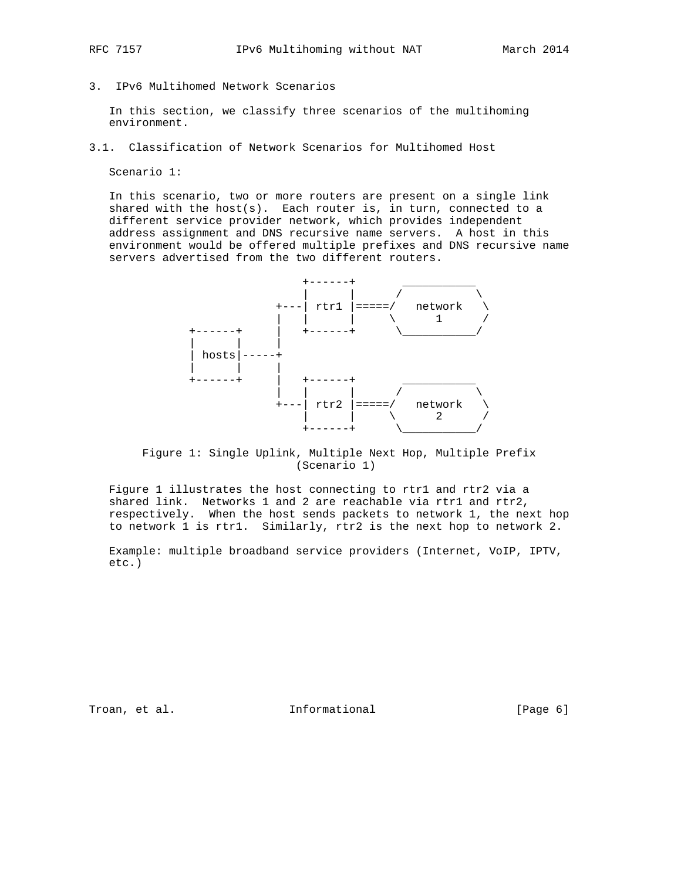- 
- 3. IPv6 Multihomed Network Scenarios

 In this section, we classify three scenarios of the multihoming environment.

3.1. Classification of Network Scenarios for Multihomed Host

Scenario 1:

 In this scenario, two or more routers are present on a single link shared with the host(s). Each router is, in turn, connected to a different service provider network, which provides independent address assignment and DNS recursive name servers. A host in this environment would be offered multiple prefixes and DNS recursive name servers advertised from the two different routers.



 Figure 1: Single Uplink, Multiple Next Hop, Multiple Prefix (Scenario 1)

 Figure 1 illustrates the host connecting to rtr1 and rtr2 via a shared link. Networks 1 and 2 are reachable via rtr1 and rtr2, respectively. When the host sends packets to network 1, the next hop to network 1 is rtr1. Similarly, rtr2 is the next hop to network 2.

 Example: multiple broadband service providers (Internet, VoIP, IPTV, etc.)

Troan, et al. Informational [Page 6]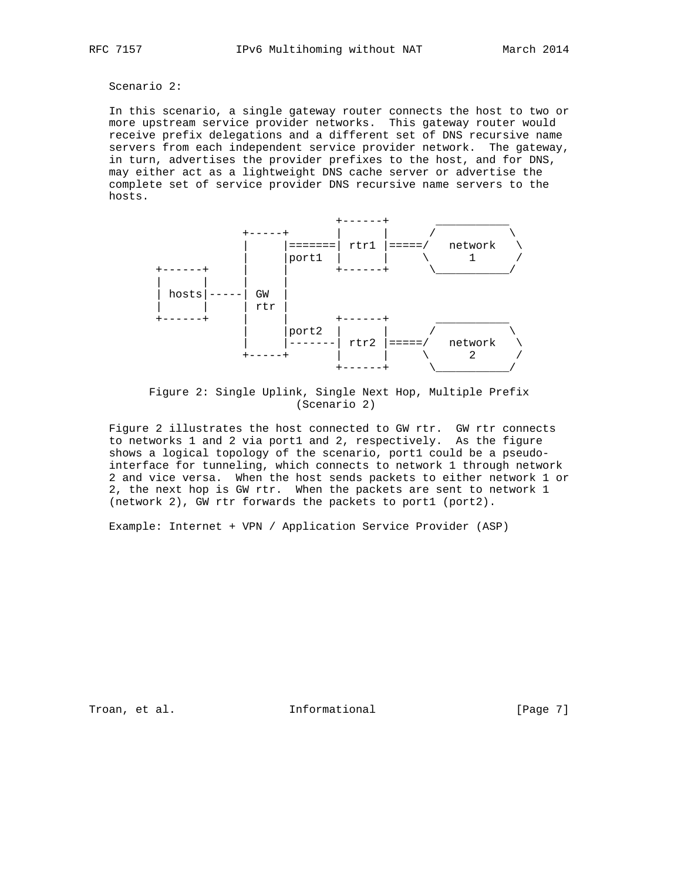# Scenario 2:

 In this scenario, a single gateway router connects the host to two or more upstream service provider networks. This gateway router would receive prefix delegations and a different set of DNS recursive name servers from each independent service provider network. The gateway, in turn, advertises the provider prefixes to the host, and for DNS, may either act as a lightweight DNS cache server or advertise the complete set of service provider DNS recursive name servers to the hosts.



 Figure 2: Single Uplink, Single Next Hop, Multiple Prefix (Scenario 2)

 Figure 2 illustrates the host connected to GW rtr. GW rtr connects to networks 1 and 2 via port1 and 2, respectively. As the figure shows a logical topology of the scenario, port1 could be a pseudo interface for tunneling, which connects to network 1 through network 2 and vice versa. When the host sends packets to either network 1 or 2, the next hop is GW rtr. When the packets are sent to network 1 (network 2), GW rtr forwards the packets to port1 (port2).

Example: Internet + VPN / Application Service Provider (ASP)

Troan, et al. 10 mm = Informational 10 mm = [Page 7]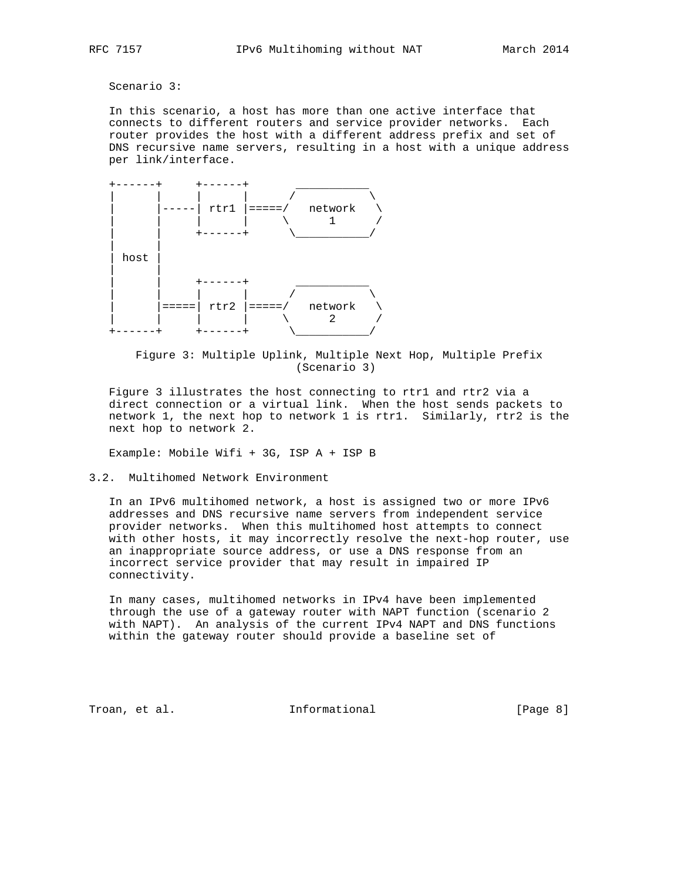### Scenario 3:

 In this scenario, a host has more than one active interface that connects to different routers and service provider networks. Each router provides the host with a different address prefix and set of DNS recursive name servers, resulting in a host with a unique address per link/interface.



 Figure 3: Multiple Uplink, Multiple Next Hop, Multiple Prefix (Scenario 3)

 Figure 3 illustrates the host connecting to rtr1 and rtr2 via a direct connection or a virtual link. When the host sends packets to network 1, the next hop to network 1 is rtr1. Similarly, rtr2 is the next hop to network 2.

Example: Mobile Wifi + 3G, ISP A + ISP B

### 3.2. Multihomed Network Environment

 In an IPv6 multihomed network, a host is assigned two or more IPv6 addresses and DNS recursive name servers from independent service provider networks. When this multihomed host attempts to connect with other hosts, it may incorrectly resolve the next-hop router, use an inappropriate source address, or use a DNS response from an incorrect service provider that may result in impaired IP connectivity.

 In many cases, multihomed networks in IPv4 have been implemented through the use of a gateway router with NAPT function (scenario 2 with NAPT). An analysis of the current IPv4 NAPT and DNS functions within the gateway router should provide a baseline set of

Troan, et al. Informational [Page 8]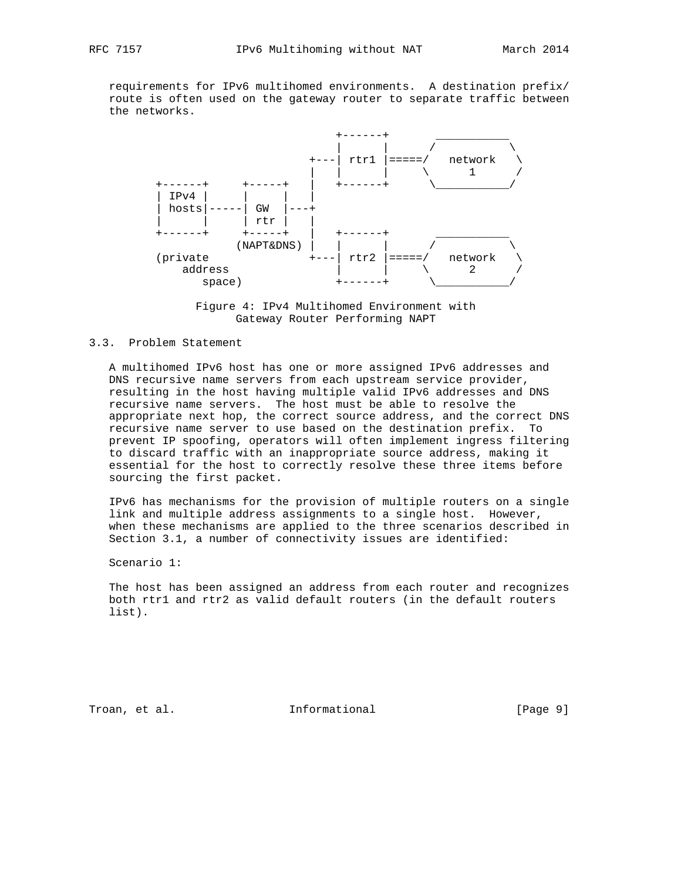requirements for IPv6 multihomed environments. A destination prefix/ route is often used on the gateway router to separate traffic between the networks.





### 3.3. Problem Statement

 A multihomed IPv6 host has one or more assigned IPv6 addresses and DNS recursive name servers from each upstream service provider, resulting in the host having multiple valid IPv6 addresses and DNS recursive name servers. The host must be able to resolve the appropriate next hop, the correct source address, and the correct DNS recursive name server to use based on the destination prefix. To prevent IP spoofing, operators will often implement ingress filtering to discard traffic with an inappropriate source address, making it essential for the host to correctly resolve these three items before sourcing the first packet.

 IPv6 has mechanisms for the provision of multiple routers on a single link and multiple address assignments to a single host. However, when these mechanisms are applied to the three scenarios described in Section 3.1, a number of connectivity issues are identified:

Scenario 1:

 The host has been assigned an address from each router and recognizes both rtr1 and rtr2 as valid default routers (in the default routers list).

Troan, et al. Informational [Page 9]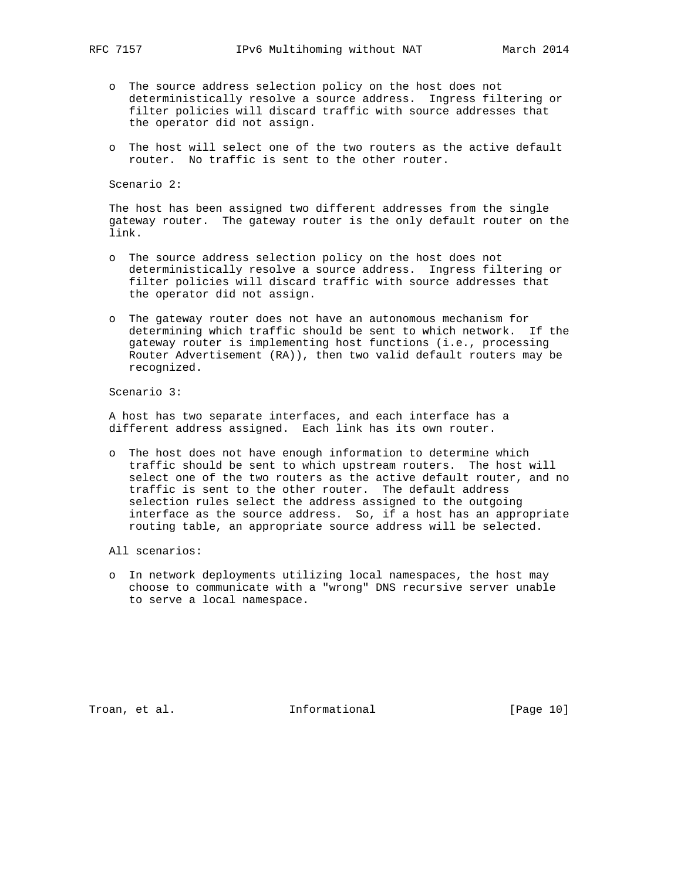- o The source address selection policy on the host does not deterministically resolve a source address. Ingress filtering or filter policies will discard traffic with source addresses that the operator did not assign.
- o The host will select one of the two routers as the active default router. No traffic is sent to the other router.

Scenario 2:

 The host has been assigned two different addresses from the single gateway router. The gateway router is the only default router on the link.

- o The source address selection policy on the host does not deterministically resolve a source address. Ingress filtering or filter policies will discard traffic with source addresses that the operator did not assign.
- o The gateway router does not have an autonomous mechanism for determining which traffic should be sent to which network. If the gateway router is implementing host functions (i.e., processing Router Advertisement (RA)), then two valid default routers may be recognized.

Scenario 3:

 A host has two separate interfaces, and each interface has a different address assigned. Each link has its own router.

- o The host does not have enough information to determine which traffic should be sent to which upstream routers. The host will select one of the two routers as the active default router, and no traffic is sent to the other router. The default address selection rules select the address assigned to the outgoing interface as the source address. So, if a host has an appropriate routing table, an appropriate source address will be selected.
- All scenarios:
- o In network deployments utilizing local namespaces, the host may choose to communicate with a "wrong" DNS recursive server unable to serve a local namespace.

Troan, et al. 10. Informational 1. [Page 10]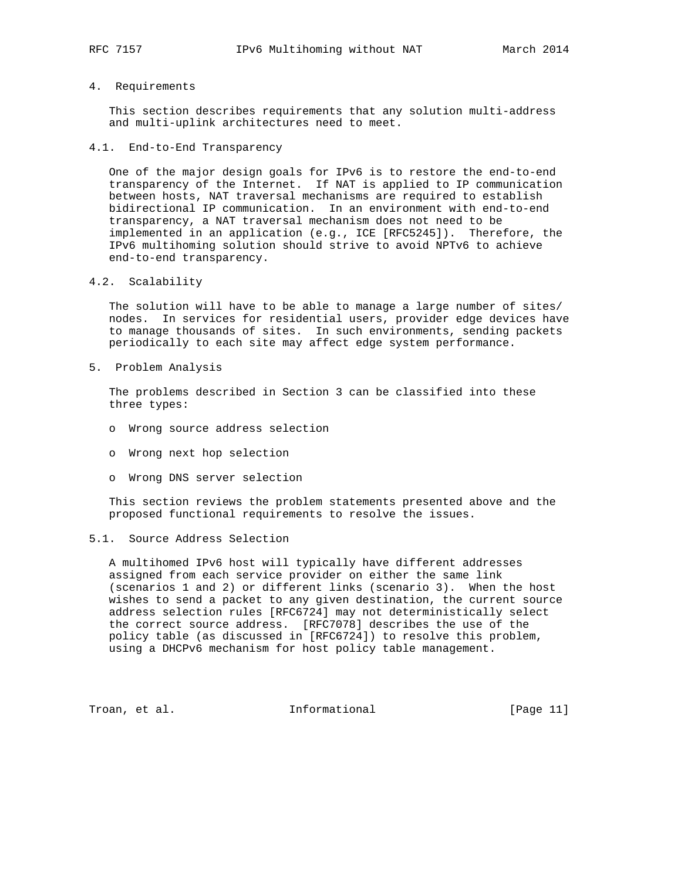# 4. Requirements

 This section describes requirements that any solution multi-address and multi-uplink architectures need to meet.

### 4.1. End-to-End Transparency

 One of the major design goals for IPv6 is to restore the end-to-end transparency of the Internet. If NAT is applied to IP communication between hosts, NAT traversal mechanisms are required to establish bidirectional IP communication. In an environment with end-to-end transparency, a NAT traversal mechanism does not need to be implemented in an application (e.g., ICE [RFC5245]). Therefore, the IPv6 multihoming solution should strive to avoid NPTv6 to achieve end-to-end transparency.

4.2. Scalability

 The solution will have to be able to manage a large number of sites/ nodes. In services for residential users, provider edge devices have to manage thousands of sites. In such environments, sending packets periodically to each site may affect edge system performance.

5. Problem Analysis

 The problems described in Section 3 can be classified into these three types:

- o Wrong source address selection
- o Wrong next hop selection
- o Wrong DNS server selection

 This section reviews the problem statements presented above and the proposed functional requirements to resolve the issues.

# 5.1. Source Address Selection

 A multihomed IPv6 host will typically have different addresses assigned from each service provider on either the same link (scenarios 1 and 2) or different links (scenario 3). When the host wishes to send a packet to any given destination, the current source address selection rules [RFC6724] may not deterministically select the correct source address. [RFC7078] describes the use of the policy table (as discussed in [RFC6724]) to resolve this problem, using a DHCPv6 mechanism for host policy table management.

Troan, et al. 10. Informational 1. [Page 11]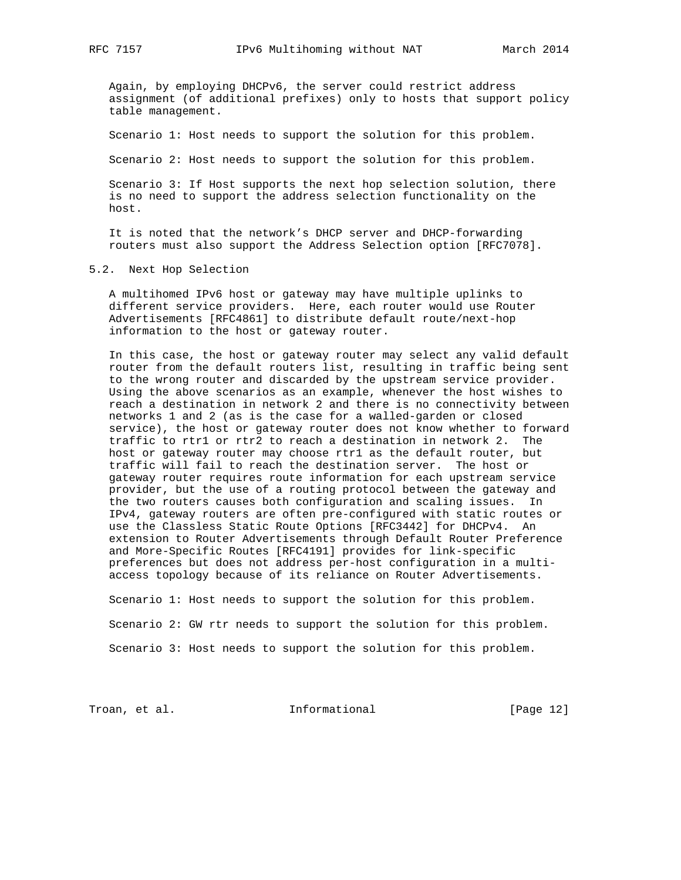Again, by employing DHCPv6, the server could restrict address assignment (of additional prefixes) only to hosts that support policy table management.

Scenario 1: Host needs to support the solution for this problem.

Scenario 2: Host needs to support the solution for this problem.

 Scenario 3: If Host supports the next hop selection solution, there is no need to support the address selection functionality on the host.

 It is noted that the network's DHCP server and DHCP-forwarding routers must also support the Address Selection option [RFC7078].

### 5.2. Next Hop Selection

 A multihomed IPv6 host or gateway may have multiple uplinks to different service providers. Here, each router would use Router Advertisements [RFC4861] to distribute default route/next-hop information to the host or gateway router.

 In this case, the host or gateway router may select any valid default router from the default routers list, resulting in traffic being sent to the wrong router and discarded by the upstream service provider. Using the above scenarios as an example, whenever the host wishes to reach a destination in network 2 and there is no connectivity between networks 1 and 2 (as is the case for a walled-garden or closed service), the host or gateway router does not know whether to forward traffic to rtr1 or rtr2 to reach a destination in network 2. The host or gateway router may choose rtr1 as the default router, but traffic will fail to reach the destination server. The host or gateway router requires route information for each upstream service provider, but the use of a routing protocol between the gateway and the two routers causes both configuration and scaling issues. In IPv4, gateway routers are often pre-configured with static routes or use the Classless Static Route Options [RFC3442] for DHCPv4. An extension to Router Advertisements through Default Router Preference and More-Specific Routes [RFC4191] provides for link-specific preferences but does not address per-host configuration in a multi access topology because of its reliance on Router Advertisements.

 Scenario 1: Host needs to support the solution for this problem. Scenario 2: GW rtr needs to support the solution for this problem. Scenario 3: Host needs to support the solution for this problem.

Troan, et al. The Informational Troan, et al.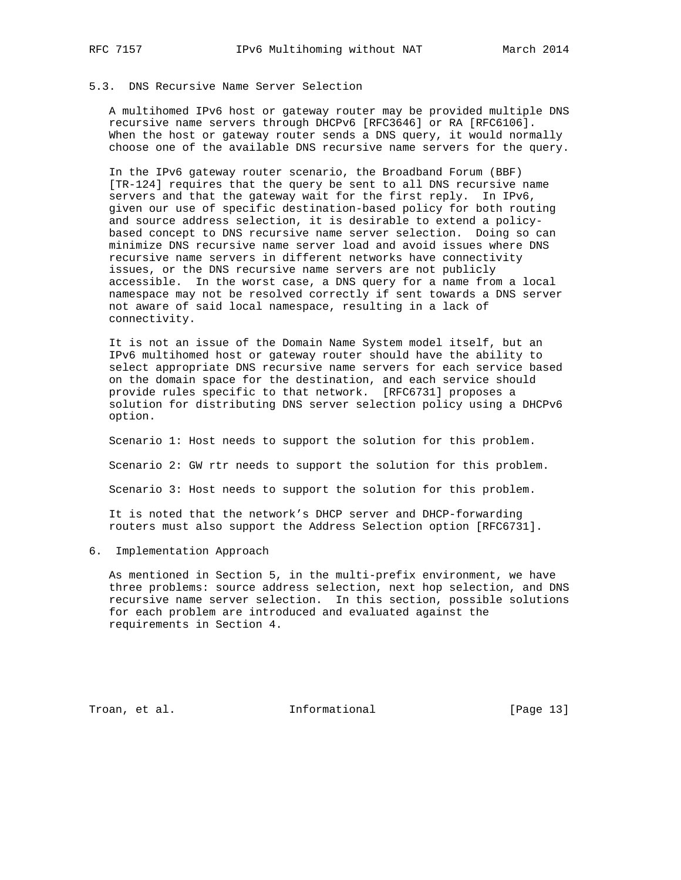# 5.3. DNS Recursive Name Server Selection

 A multihomed IPv6 host or gateway router may be provided multiple DNS recursive name servers through DHCPv6 [RFC3646] or RA [RFC6106]. When the host or gateway router sends a DNS query, it would normally choose one of the available DNS recursive name servers for the query.

 In the IPv6 gateway router scenario, the Broadband Forum (BBF) [TR-124] requires that the query be sent to all DNS recursive name servers and that the gateway wait for the first reply. In IPv6, given our use of specific destination-based policy for both routing and source address selection, it is desirable to extend a policy based concept to DNS recursive name server selection. Doing so can minimize DNS recursive name server load and avoid issues where DNS recursive name servers in different networks have connectivity issues, or the DNS recursive name servers are not publicly accessible. In the worst case, a DNS query for a name from a local namespace may not be resolved correctly if sent towards a DNS server not aware of said local namespace, resulting in a lack of connectivity.

 It is not an issue of the Domain Name System model itself, but an IPv6 multihomed host or gateway router should have the ability to select appropriate DNS recursive name servers for each service based on the domain space for the destination, and each service should provide rules specific to that network. [RFC6731] proposes a solution for distributing DNS server selection policy using a DHCPv6 option.

Scenario 1: Host needs to support the solution for this problem.

Scenario 2: GW rtr needs to support the solution for this problem.

Scenario 3: Host needs to support the solution for this problem.

 It is noted that the network's DHCP server and DHCP-forwarding routers must also support the Address Selection option [RFC6731].

6. Implementation Approach

 As mentioned in Section 5, in the multi-prefix environment, we have three problems: source address selection, next hop selection, and DNS recursive name server selection. In this section, possible solutions for each problem are introduced and evaluated against the requirements in Section 4.

Troan, et al. 10 mm = Informational 10 mm = [Page 13]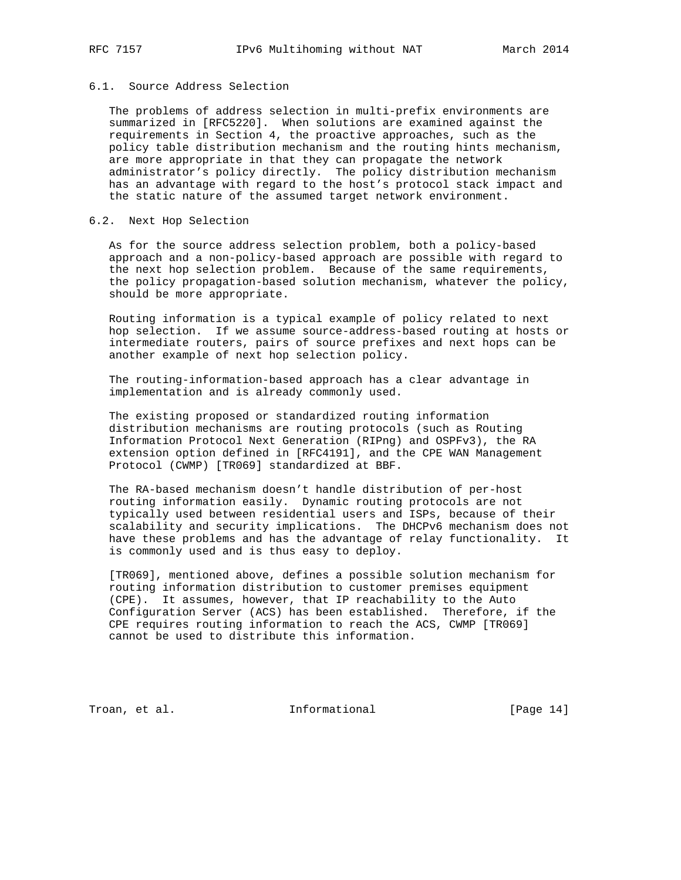# 6.1. Source Address Selection

 The problems of address selection in multi-prefix environments are summarized in [RFC5220]. When solutions are examined against the requirements in Section 4, the proactive approaches, such as the policy table distribution mechanism and the routing hints mechanism, are more appropriate in that they can propagate the network administrator's policy directly. The policy distribution mechanism has an advantage with regard to the host's protocol stack impact and the static nature of the assumed target network environment.

### 6.2. Next Hop Selection

 As for the source address selection problem, both a policy-based approach and a non-policy-based approach are possible with regard to the next hop selection problem. Because of the same requirements, the policy propagation-based solution mechanism, whatever the policy, should be more appropriate.

 Routing information is a typical example of policy related to next hop selection. If we assume source-address-based routing at hosts or intermediate routers, pairs of source prefixes and next hops can be another example of next hop selection policy.

 The routing-information-based approach has a clear advantage in implementation and is already commonly used.

 The existing proposed or standardized routing information distribution mechanisms are routing protocols (such as Routing Information Protocol Next Generation (RIPng) and OSPFv3), the RA extension option defined in [RFC4191], and the CPE WAN Management Protocol (CWMP) [TR069] standardized at BBF.

 The RA-based mechanism doesn't handle distribution of per-host routing information easily. Dynamic routing protocols are not typically used between residential users and ISPs, because of their scalability and security implications. The DHCPv6 mechanism does not have these problems and has the advantage of relay functionality. It is commonly used and is thus easy to deploy.

 [TR069], mentioned above, defines a possible solution mechanism for routing information distribution to customer premises equipment (CPE). It assumes, however, that IP reachability to the Auto Configuration Server (ACS) has been established. Therefore, if the CPE requires routing information to reach the ACS, CWMP [TR069] cannot be used to distribute this information.

Troan, et al. 10. Informational 1. [Page 14]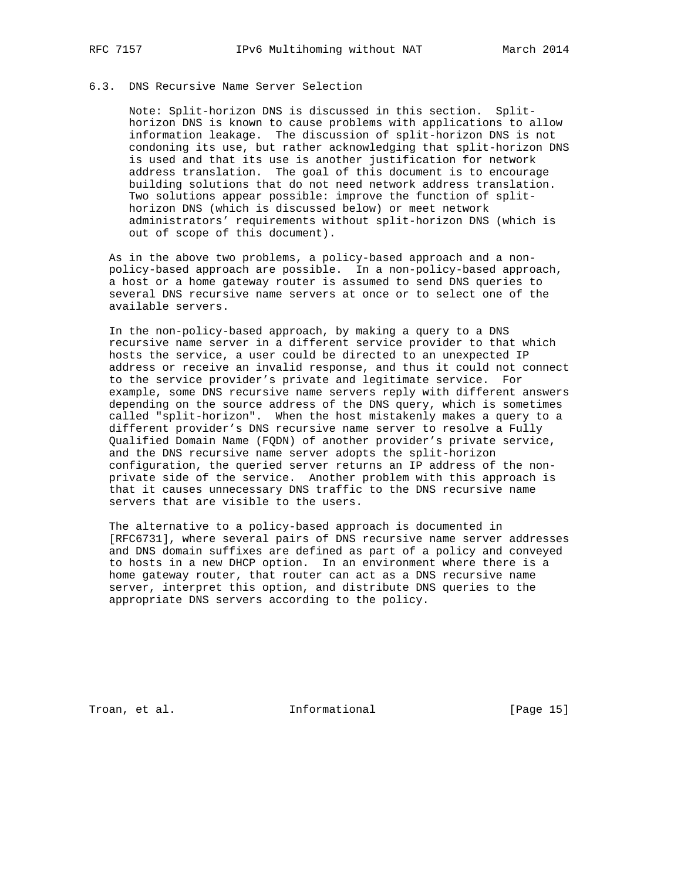# 6.3. DNS Recursive Name Server Selection

 Note: Split-horizon DNS is discussed in this section. Split horizon DNS is known to cause problems with applications to allow information leakage. The discussion of split-horizon DNS is not condoning its use, but rather acknowledging that split-horizon DNS is used and that its use is another justification for network address translation. The goal of this document is to encourage building solutions that do not need network address translation. Two solutions appear possible: improve the function of split horizon DNS (which is discussed below) or meet network administrators' requirements without split-horizon DNS (which is out of scope of this document).

 As in the above two problems, a policy-based approach and a non policy-based approach are possible. In a non-policy-based approach, a host or a home gateway router is assumed to send DNS queries to several DNS recursive name servers at once or to select one of the available servers.

 In the non-policy-based approach, by making a query to a DNS recursive name server in a different service provider to that which hosts the service, a user could be directed to an unexpected IP address or receive an invalid response, and thus it could not connect to the service provider's private and legitimate service. For example, some DNS recursive name servers reply with different answers depending on the source address of the DNS query, which is sometimes called "split-horizon". When the host mistakenly makes a query to a different provider's DNS recursive name server to resolve a Fully Qualified Domain Name (FQDN) of another provider's private service, and the DNS recursive name server adopts the split-horizon configuration, the queried server returns an IP address of the non private side of the service. Another problem with this approach is that it causes unnecessary DNS traffic to the DNS recursive name servers that are visible to the users.

 The alternative to a policy-based approach is documented in [RFC6731], where several pairs of DNS recursive name server addresses and DNS domain suffixes are defined as part of a policy and conveyed to hosts in a new DHCP option. In an environment where there is a home gateway router, that router can act as a DNS recursive name server, interpret this option, and distribute DNS queries to the appropriate DNS servers according to the policy.

Troan, et al. 10. Informational 1. [Page 15]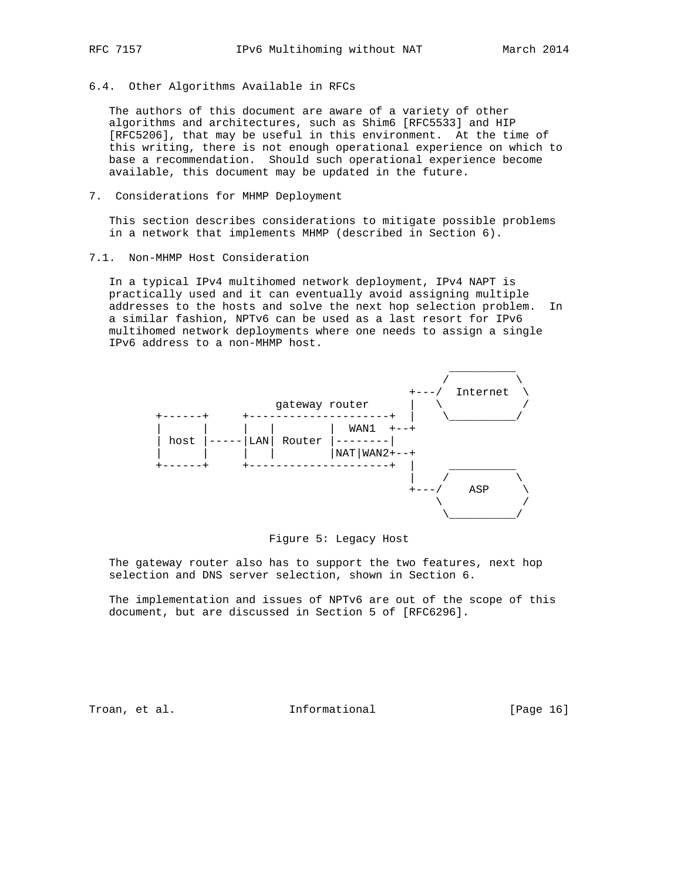6.4. Other Algorithms Available in RFCs

 The authors of this document are aware of a variety of other algorithms and architectures, such as Shim6 [RFC5533] and HIP [RFC5206], that may be useful in this environment. At the time of this writing, there is not enough operational experience on which to base a recommendation. Should such operational experience become available, this document may be updated in the future.

7. Considerations for MHMP Deployment

 This section describes considerations to mitigate possible problems in a network that implements MHMP (described in Section 6).

7.1. Non-MHMP Host Consideration

 In a typical IPv4 multihomed network deployment, IPv4 NAPT is practically used and it can eventually avoid assigning multiple addresses to the hosts and solve the next hop selection problem. In a similar fashion, NPTv6 can be used as a last resort for IPv6 multihomed network deployments where one needs to assign a single IPv6 address to a non-MHMP host.



### Figure 5: Legacy Host

 The gateway router also has to support the two features, next hop selection and DNS server selection, shown in Section 6.

 The implementation and issues of NPTv6 are out of the scope of this document, but are discussed in Section 5 of [RFC6296].

Troan, et al. The Informational Troan, et al.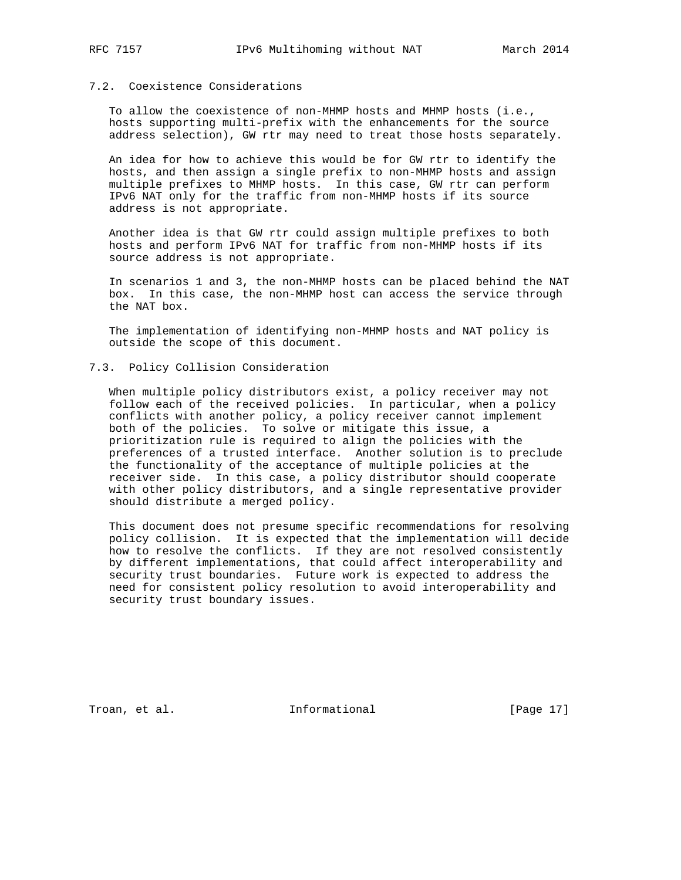## 7.2. Coexistence Considerations

 To allow the coexistence of non-MHMP hosts and MHMP hosts (i.e., hosts supporting multi-prefix with the enhancements for the source address selection), GW rtr may need to treat those hosts separately.

 An idea for how to achieve this would be for GW rtr to identify the hosts, and then assign a single prefix to non-MHMP hosts and assign multiple prefixes to MHMP hosts. In this case, GW rtr can perform IPv6 NAT only for the traffic from non-MHMP hosts if its source address is not appropriate.

 Another idea is that GW rtr could assign multiple prefixes to both hosts and perform IPv6 NAT for traffic from non-MHMP hosts if its source address is not appropriate.

 In scenarios 1 and 3, the non-MHMP hosts can be placed behind the NAT box. In this case, the non-MHMP host can access the service through the NAT box.

 The implementation of identifying non-MHMP hosts and NAT policy is outside the scope of this document.

### 7.3. Policy Collision Consideration

 When multiple policy distributors exist, a policy receiver may not follow each of the received policies. In particular, when a policy conflicts with another policy, a policy receiver cannot implement both of the policies. To solve or mitigate this issue, a prioritization rule is required to align the policies with the preferences of a trusted interface. Another solution is to preclude the functionality of the acceptance of multiple policies at the receiver side. In this case, a policy distributor should cooperate with other policy distributors, and a single representative provider should distribute a merged policy.

 This document does not presume specific recommendations for resolving policy collision. It is expected that the implementation will decide how to resolve the conflicts. If they are not resolved consistently by different implementations, that could affect interoperability and security trust boundaries. Future work is expected to address the need for consistent policy resolution to avoid interoperability and security trust boundary issues.

Troan, et al. 10 mm informational [Page 17]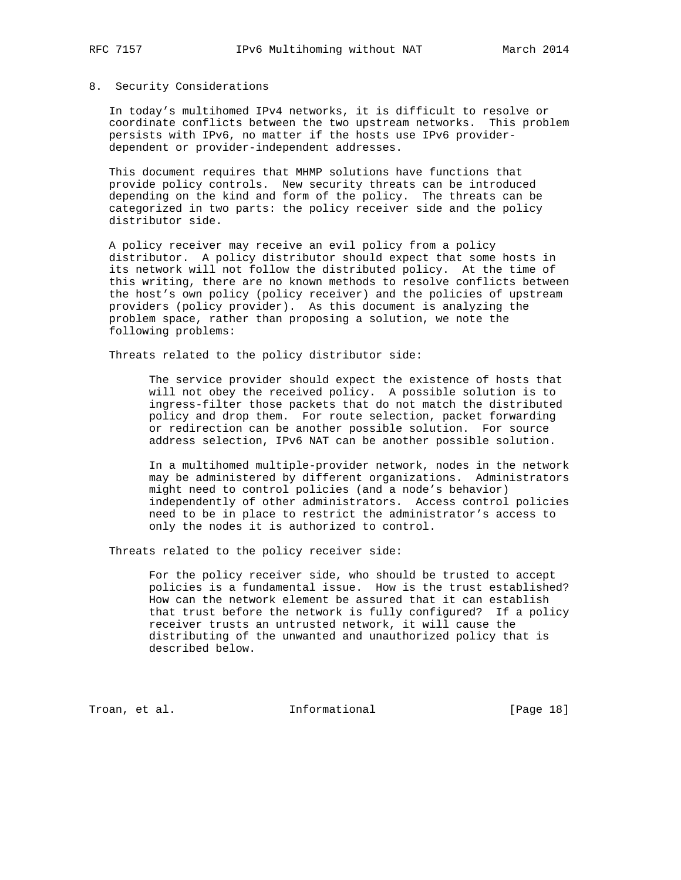### 8. Security Considerations

 In today's multihomed IPv4 networks, it is difficult to resolve or coordinate conflicts between the two upstream networks. This problem persists with IPv6, no matter if the hosts use IPv6 provider dependent or provider-independent addresses.

 This document requires that MHMP solutions have functions that provide policy controls. New security threats can be introduced depending on the kind and form of the policy. The threats can be categorized in two parts: the policy receiver side and the policy distributor side.

 A policy receiver may receive an evil policy from a policy distributor. A policy distributor should expect that some hosts in its network will not follow the distributed policy. At the time of this writing, there are no known methods to resolve conflicts between the host's own policy (policy receiver) and the policies of upstream providers (policy provider). As this document is analyzing the problem space, rather than proposing a solution, we note the following problems:

Threats related to the policy distributor side:

 The service provider should expect the existence of hosts that will not obey the received policy. A possible solution is to ingress-filter those packets that do not match the distributed policy and drop them. For route selection, packet forwarding or redirection can be another possible solution. For source address selection, IPv6 NAT can be another possible solution.

> In a multihomed multiple-provider network, nodes in the network may be administered by different organizations. Administrators might need to control policies (and a node's behavior) independently of other administrators. Access control policies need to be in place to restrict the administrator's access to only the nodes it is authorized to control.

Threats related to the policy receiver side:

 For the policy receiver side, who should be trusted to accept policies is a fundamental issue. How is the trust established? How can the network element be assured that it can establish that trust before the network is fully configured? If a policy receiver trusts an untrusted network, it will cause the distributing of the unwanted and unauthorized policy that is described below.

Troan, et al. 10 Informational [Page 18]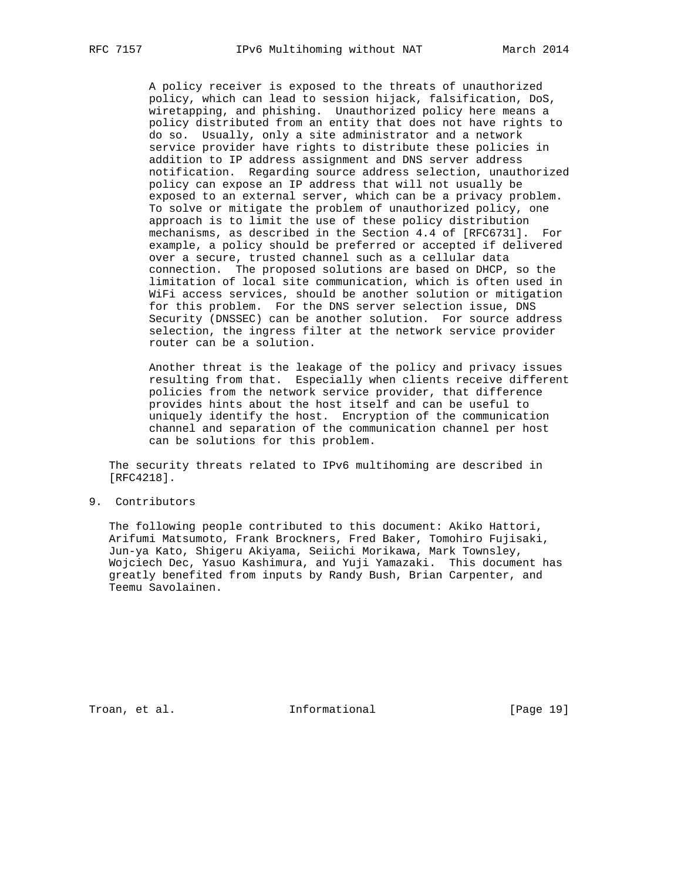A policy receiver is exposed to the threats of unauthorized policy, which can lead to session hijack, falsification, DoS, wiretapping, and phishing. Unauthorized policy here means a policy distributed from an entity that does not have rights to do so. Usually, only a site administrator and a network service provider have rights to distribute these policies in addition to IP address assignment and DNS server address notification. Regarding source address selection, unauthorized policy can expose an IP address that will not usually be exposed to an external server, which can be a privacy problem. To solve or mitigate the problem of unauthorized policy, one approach is to limit the use of these policy distribution mechanisms, as described in the Section 4.4 of [RFC6731]. For example, a policy should be preferred or accepted if delivered over a secure, trusted channel such as a cellular data connection. The proposed solutions are based on DHCP, so the limitation of local site communication, which is often used in WiFi access services, should be another solution or mitigation for this problem. For the DNS server selection issue, DNS Security (DNSSEC) can be another solution. For source address selection, the ingress filter at the network service provider router can be a solution.

 Another threat is the leakage of the policy and privacy issues resulting from that. Especially when clients receive different policies from the network service provider, that difference provides hints about the host itself and can be useful to uniquely identify the host. Encryption of the communication channel and separation of the communication channel per host can be solutions for this problem.

 The security threats related to IPv6 multihoming are described in [RFC4218].

9. Contributors

 The following people contributed to this document: Akiko Hattori, Arifumi Matsumoto, Frank Brockners, Fred Baker, Tomohiro Fujisaki, Jun-ya Kato, Shigeru Akiyama, Seiichi Morikawa, Mark Townsley, Wojciech Dec, Yasuo Kashimura, and Yuji Yamazaki. This document has greatly benefited from inputs by Randy Bush, Brian Carpenter, and Teemu Savolainen.

Troan, et al. 10 mm informational [Page 19]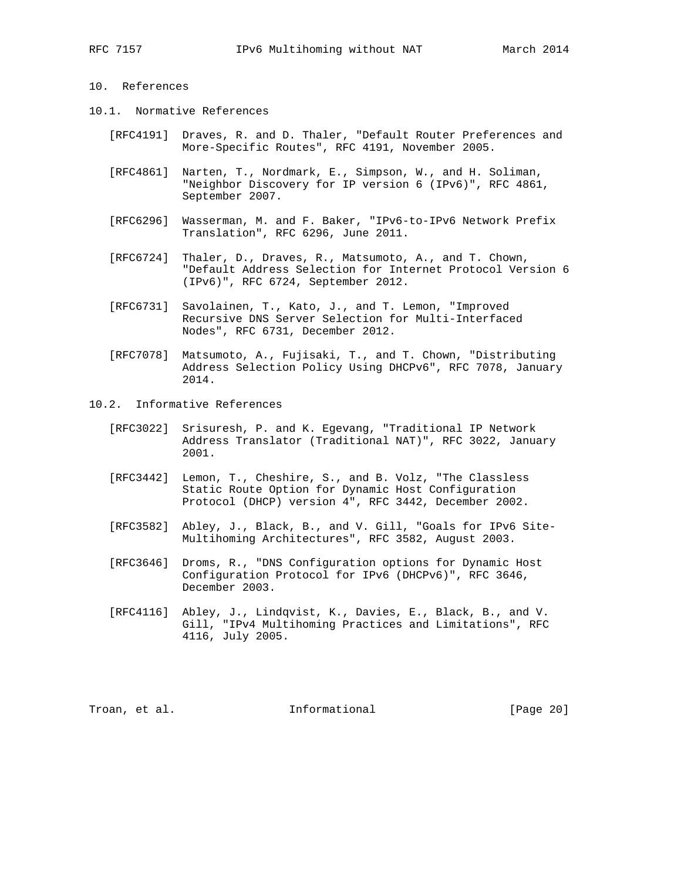## 10. References

- 10.1. Normative References
	- [RFC4191] Draves, R. and D. Thaler, "Default Router Preferences and More-Specific Routes", RFC 4191, November 2005.
	- [RFC4861] Narten, T., Nordmark, E., Simpson, W., and H. Soliman, "Neighbor Discovery for IP version 6 (IPv6)", RFC 4861, September 2007.
	- [RFC6296] Wasserman, M. and F. Baker, "IPv6-to-IPv6 Network Prefix Translation", RFC 6296, June 2011.
	- [RFC6724] Thaler, D., Draves, R., Matsumoto, A., and T. Chown, "Default Address Selection for Internet Protocol Version 6 (IPv6)", RFC 6724, September 2012.
	- [RFC6731] Savolainen, T., Kato, J., and T. Lemon, "Improved Recursive DNS Server Selection for Multi-Interfaced Nodes", RFC 6731, December 2012.
	- [RFC7078] Matsumoto, A., Fujisaki, T., and T. Chown, "Distributing Address Selection Policy Using DHCPv6", RFC 7078, January 2014.
- 10.2. Informative References
	- [RFC3022] Srisuresh, P. and K. Egevang, "Traditional IP Network Address Translator (Traditional NAT)", RFC 3022, January 2001.
	- [RFC3442] Lemon, T., Cheshire, S., and B. Volz, "The Classless Static Route Option for Dynamic Host Configuration Protocol (DHCP) version 4", RFC 3442, December 2002.
	- [RFC3582] Abley, J., Black, B., and V. Gill, "Goals for IPv6 Site- Multihoming Architectures", RFC 3582, August 2003.
	- [RFC3646] Droms, R., "DNS Configuration options for Dynamic Host Configuration Protocol for IPv6 (DHCPv6)", RFC 3646, December 2003.
	- [RFC4116] Abley, J., Lindqvist, K., Davies, E., Black, B., and V. Gill, "IPv4 Multihoming Practices and Limitations", RFC 4116, July 2005.

Troan, et al. 100 mm and 111 mm and 111 mm and 100 mm and 100 mm and 100 mm and 100 mm and 100 mm and 100 mm a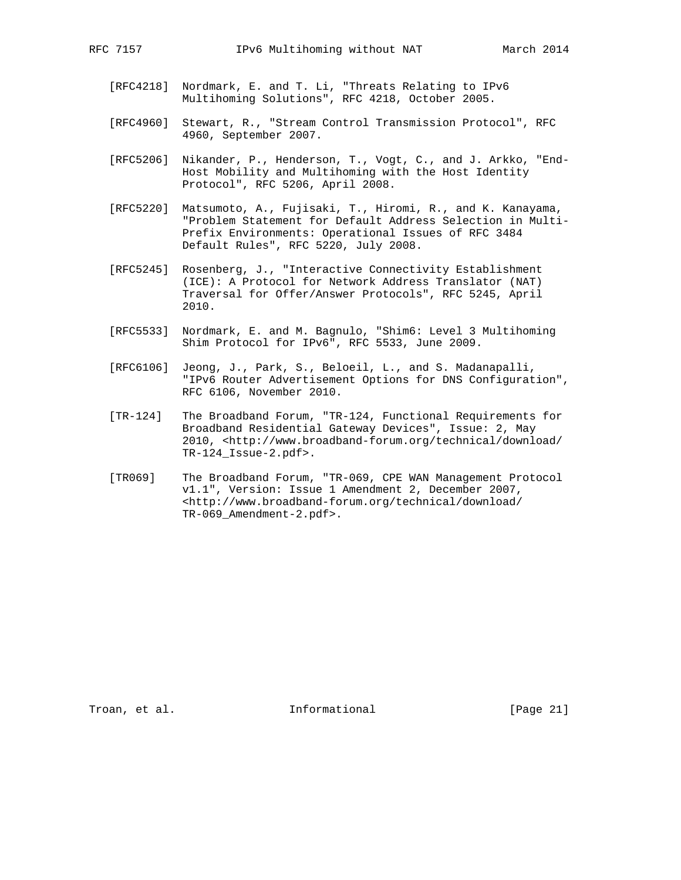- [RFC4218] Nordmark, E. and T. Li, "Threats Relating to IPv6 Multihoming Solutions", RFC 4218, October 2005.
- [RFC4960] Stewart, R., "Stream Control Transmission Protocol", RFC 4960, September 2007.
- [RFC5206] Nikander, P., Henderson, T., Vogt, C., and J. Arkko, "End- Host Mobility and Multihoming with the Host Identity Protocol", RFC 5206, April 2008.
- [RFC5220] Matsumoto, A., Fujisaki, T., Hiromi, R., and K. Kanayama, "Problem Statement for Default Address Selection in Multi- Prefix Environments: Operational Issues of RFC 3484 Default Rules", RFC 5220, July 2008.
- [RFC5245] Rosenberg, J., "Interactive Connectivity Establishment (ICE): A Protocol for Network Address Translator (NAT) Traversal for Offer/Answer Protocols", RFC 5245, April 2010.
- [RFC5533] Nordmark, E. and M. Bagnulo, "Shim6: Level 3 Multihoming Shim Protocol for IPv6", RFC 5533, June 2009.
- [RFC6106] Jeong, J., Park, S., Beloeil, L., and S. Madanapalli, "IPv6 Router Advertisement Options for DNS Configuration", RFC 6106, November 2010.
- [TR-124] The Broadband Forum, "TR-124, Functional Requirements for Broadband Residential Gateway Devices", Issue: 2, May 2010, <http://www.broadband-forum.org/technical/download/ TR-124\_Issue-2.pdf>.
- [TR069] The Broadband Forum, "TR-069, CPE WAN Management Protocol v1.1", Version: Issue 1 Amendment 2, December 2007, <http://www.broadband-forum.org/technical/download/ TR-069\_Amendment-2.pdf>.

Troan, et al. 10 mm informational [Page 21]